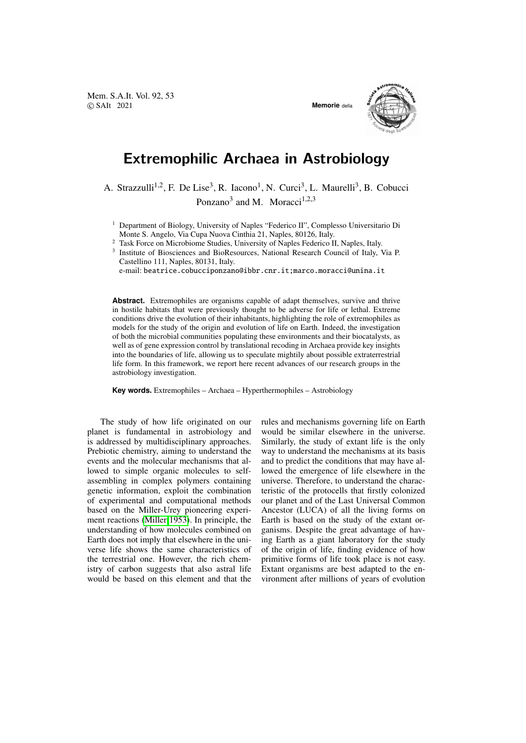Mem. S.A.It. Vol. 92, 53 © SAIt 2021 **Memorie** della



## Extremophilic Archaea in Astrobiology

A. Strazzulli<sup>1,2</sup>, F. De Lise<sup>3</sup>, R. Iacono<sup>1</sup>, N. Curci<sup>3</sup>, L. Maurelli<sup>3</sup>, B. Cobucci Ponzano<sup>3</sup> and M. Moracci<sup>1,2,3</sup>

<sup>1</sup> Department of Biology, University of Naples "Federico II", Complesso Universitario Di Monte S. Angelo, Via Cupa Nuova Cinthia 21, Naples, 80126, Italy.

<sup>2</sup> Task Force on Microbiome Studies, University of Naples Federico II, Naples, Italy.

3 Institute of Biosciences and BioResources, National Research Council of Italy, Via P. Castellino 111, Naples, 80131, Italy.

e-mail: beatrice.cobucciponzano@ibbr.cnr.it;marco.moracci@unina.it

**Abstract.** Extremophiles are organisms capable of adapt themselves, survive and thrive in hostile habitats that were previously thought to be adverse for life or lethal. Extreme conditions drive the evolution of their inhabitants, highlighting the role of extremophiles as models for the study of the origin and evolution of life on Earth. Indeed, the investigation of both the microbial communities populating these environments and their biocatalysts, as well as of gene expression control by translational recoding in Archaea provide key insights into the boundaries of life, allowing us to speculate mightily about possible extraterrestrial life form. In this framework, we report here recent advances of our research groups in the astrobiology investigation.

**Key words.** Extremophiles – Archaea – Hyperthermophiles – Astrobiology

The study of how life originated on our planet is fundamental in astrobiology and is addressed by multidisciplinary approaches. Prebiotic chemistry, aiming to understand the events and the molecular mechanisms that allowed to simple organic molecules to selfassembling in complex polymers containing genetic information, exploit the combination of experimental and computational methods based on the Miller-Urey pioneering experiment reactions [\(Miller 1953\)](#page-5-0). In principle, the understanding of how molecules combined on Earth does not imply that elsewhere in the universe life shows the same characteristics of the terrestrial one. However, the rich chemistry of carbon suggests that also astral life would be based on this element and that the rules and mechanisms governing life on Earth would be similar elsewhere in the universe. Similarly, the study of extant life is the only way to understand the mechanisms at its basis and to predict the conditions that may have allowed the emergence of life elsewhere in the universe. Therefore, to understand the characteristic of the protocells that firstly colonized our planet and of the Last Universal Common Ancestor (LUCA) of all the living forms on Earth is based on the study of the extant organisms. Despite the great advantage of having Earth as a giant laboratory for the study of the origin of life, finding evidence of how primitive forms of life took place is not easy. Extant organisms are best adapted to the environment after millions of years of evolution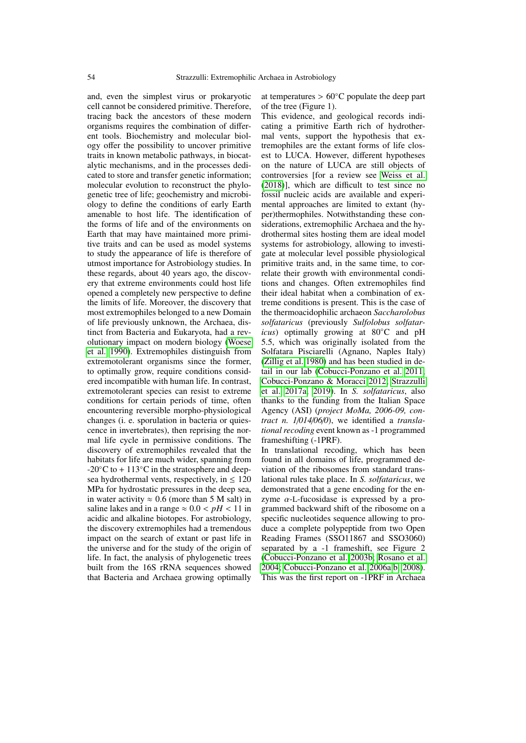and, even the simplest virus or prokaryotic cell cannot be considered primitive. Therefore, tracing back the ancestors of these modern organisms requires the combination of different tools. Biochemistry and molecular biology offer the possibility to uncover primitive traits in known metabolic pathways, in biocatalytic mechanisms, and in the processes dedicated to store and transfer genetic information; molecular evolution to reconstruct the phylogenetic tree of life; geochemistry and microbiology to define the conditions of early Earth amenable to host life. The identification of the forms of life and of the environments on Earth that may have maintained more primitive traits and can be used as model systems to study the appearance of life is therefore of utmost importance for Astrobiology studies. In these regards, about 40 years ago, the discovery that extreme environments could host life opened a completely new perspective to define the limits of life. Moreover, the discovery that most extremophiles belonged to a new Domain of life previously unknown, the Archaea, distinct from Bacteria and Eukaryota, had a revolutionary impact on modern biology [\(Woese](#page-6-0) [et al. 1990\)](#page-6-0). Extremophiles distinguish from extremotolerant organisms since the former, to optimally grow, require conditions considered incompatible with human life. In contrast, extremotolerant species can resist to extreme conditions for certain periods of time, often encountering reversible morpho-physiological changes (i. e. sporulation in bacteria or quiescence in invertebrates), then reprising the normal life cycle in permissive conditions. The discovery of extremophiles revealed that the habitats for life are much wider, spanning from  $-20\degree$ C to + 113 $\degree$ C in the stratosphere and deepsea hydrothermal vents, respectively, in  $\leq 120$ MPa for hydrostatic pressures in the deep sea, in water activity  $\approx 0.6$  (more than 5 M salt) in saline lakes and in a range  $\approx 0.0 < pH < 11$  in acidic and alkaline biotopes. For astrobiology, the discovery extremophiles had a tremendous impact on the search of extant or past life in the universe and for the study of the origin of life. In fact, the analysis of phylogenetic trees built from the 16S rRNA sequences showed that Bacteria and Archaea growing optimally at temperatures >  $60^{\circ}$ C populate the deep part of the tree (Figure 1).

This evidence, and geological records indicating a primitive Earth rich of hydrothermal vents, support the hypothesis that extremophiles are the extant forms of life closest to LUCA. However, different hypotheses on the nature of LUCA are still objects of controversies [for a review see [Weiss et al.](#page-6-1) [\(2018\)](#page-6-1)], which are difficult to test since no fossil nucleic acids are available and experimental approaches are limited to extant (hyper)thermophiles. Notwithstanding these considerations, extremophilic Archaea and the hydrothermal sites hosting them are ideal model systems for astrobiology, allowing to investigate at molecular level possible physiological primitive traits and, in the same time, to correlate their growth with environmental conditions and changes. Often extremophiles find their ideal habitat when a combination of extreme conditions is present. This is the case of the thermoacidophilic archaeon *Saccharolobus solfataricus* (previously *Sulfolobus solfataricus*) optimally growing at 80◦C and pH 5.5, which was originally isolated from the Solfatara Pisciarelli (Agnano, Naples Italy) [\(Zillig et al. 1980\)](#page-6-2) and has been studied in detail in our lab [\(Cobucci-Ponzano et al. 2011;](#page-5-1) [Cobucci-Ponzano & Moracci 2012;](#page-5-2) [Strazzulli](#page-6-3) [et al. 2017a,](#page-6-3) [2019\)](#page-6-4). In *S. solfataricus*, also thanks to the funding from the Italian Space Agency (ASI) (*project MoMa, 2006-09, contract n. 1*/*014*/*06*/*0*), we identified a *translational recoding* event known as -1 programmed frameshifting (-1PRF).

In translational recoding, which has been found in all domains of life, programmed deviation of the ribosomes from standard translational rules take place. In *S. solfataricus*, we demonstrated that a gene encoding for the enzyme  $\alpha$ -L-fucosidase is expressed by a programmed backward shift of the ribosome on a specific nucleotides sequence allowing to produce a complete polypeptide from two Open Reading Frames (SSO11867 and SSO3060) separated by a -1 frameshift, see Figure 2 [\(Cobucci-Ponzano et al. 2003b;](#page-5-3) [Rosano et al.](#page-6-5) [2004;](#page-6-5) [Cobucci-Ponzano et al. 2006a,](#page-5-4)[b,](#page-5-5) [2008\)](#page-5-6). This was the first report on -1PRF in Archaea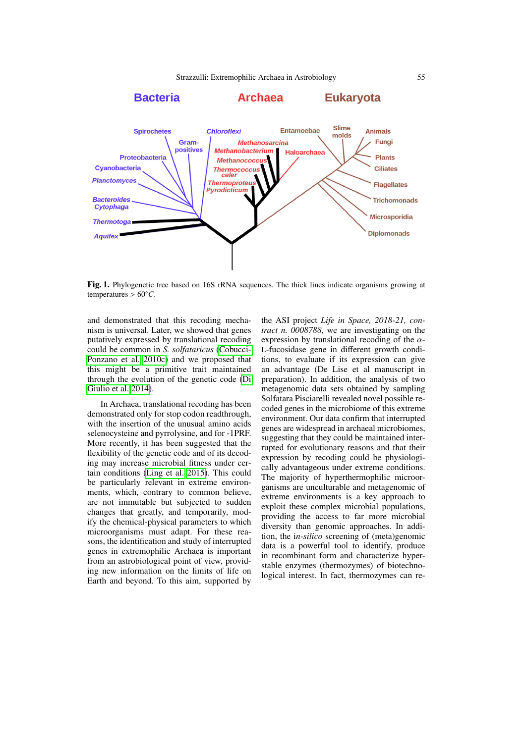

Fig. 1. Phylogenetic tree based on 16S rRNA sequences. The thick lines indicate organisms growing at temperatures >  $60^{\circ}$ *C*.

and demonstrated that this recoding mechanism is universal. Later, we showed that genes putatively expressed by translational recoding could be common in *S. solfataricus* [\(Cobucci-](#page-5-7)[Ponzano et al. 2010c\)](#page-5-7) and we proposed that this might be a primitive trait maintained through the evolution of the genetic code [\(Di](#page-5-8) [Giulio et al. 2014\)](#page-5-8).

In Archaea, translational recoding has been demonstrated only for stop codon readthrough, with the insertion of the unusual amino acids selenocysteine and pyrrolysine, and for -1PRF. More recently, it has been suggested that the flexibility of the genetic code and of its decoding may increase microbial fitness under certain conditions [\(Ling et al. 2015\)](#page-5-9). This could be particularly relevant in extreme environments, which, contrary to common believe, are not immutable but subjected to sudden changes that greatly, and temporarily, modify the chemical-physical parameters to which microorganisms must adapt. For these reasons, the identification and study of interrupted genes in extremophilic Archaea is important from an astrobiological point of view, providing new information on the limits of life on Earth and beyond. To this aim, supported by the ASI project *Life in Space, 2018-21, contract n. 0008788*, we are investigating on the expression by translational recoding of the  $\alpha$ -L-fucosidase gene in different growth conditions, to evaluate if its expression can give an advantage (De Lise et al manuscript in preparation). In addition, the analysis of two metagenomic data sets obtained by sampling Solfatara Pisciarelli revealed novel possible recoded genes in the microbiome of this extreme environment. Our data confirm that interrupted genes are widespread in archaeal microbiomes, suggesting that they could be maintained interrupted for evolutionary reasons and that their expression by recoding could be physiologically advantageous under extreme conditions. The majority of hyperthermophilic microorganisms are unculturable and metagenomic of extreme environments is a key approach to exploit these complex microbial populations, providing the access to far more microbial diversity than genomic approaches. In addition, the i*n-silico* screening of (meta)genomic data is a powerful tool to identify, produce in recombinant form and characterize hyperstable enzymes (thermozymes) of biotechnological interest. In fact, thermozymes can re-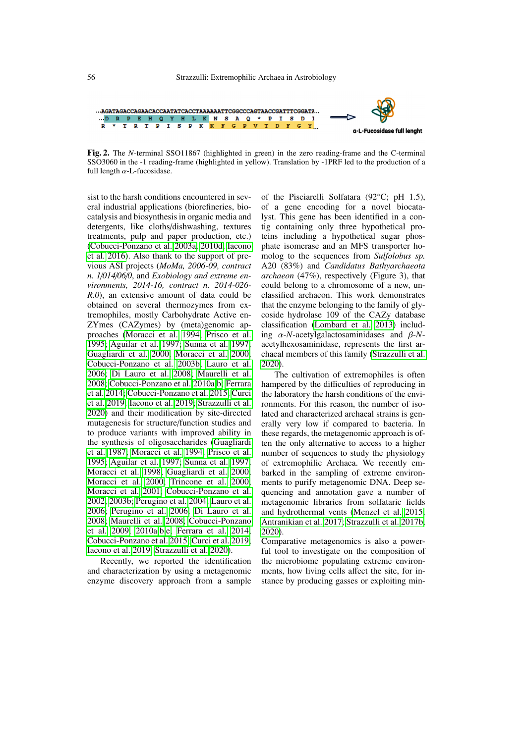

Fig. 2. The *N*-terminal SSO11867 (highlighted in green) in the zero reading-frame and the C-terminal SSO3060 in the -1 reading-frame (highlighted in yellow). Translation by -1PRF led to the production of a full length  $\alpha$ -L-fucosidase.

sist to the harsh conditions encountered in several industrial applications (biorefineries, biocatalysis and biosynthesis in organic media and detergents, like cloths/dishwashing, textures treatments, pulp and paper production, etc.) [\(Cobucci-Ponzano et al. 2003a,](#page-5-10) [2010d;](#page-5-11) [Iacono](#page-5-12) [et al. 2016\)](#page-5-12). Also thank to the support of previous ASI projects (*MoMa, 2006-09, contract n. 1*/*014*/*06*/*0*, and *Exobiology and extreme environments, 2014-16, contract n. 2014-026- R.0*), an extensive amount of data could be obtained on several thermozymes from extremophiles, mostly Carbohydrate Active en-ZYmes (CAZymes) by (meta)genomic approaches [\(Moracci et al. 1994;](#page-5-13) [Prisco et al.](#page-6-6) [1995;](#page-6-6) [Aguilar et al. 1997;](#page-5-14) [Sunna et al. 1997;](#page-6-7) [Guagliardi et al. 2000;](#page-5-15) [Moracci et al. 2000;](#page-5-16) [Cobucci-Ponzano et al. 2003b;](#page-5-3) [Lauro et al.](#page-5-17) [2006;](#page-5-17) [Di Lauro et al. 2008;](#page-5-18) [Maurelli et al.](#page-5-19) [2008;](#page-5-19) [Cobucci-Ponzano et al. 2010a,](#page-5-20)[b;](#page-5-21) [Ferrara](#page-5-22) [et al. 2014;](#page-5-22) [Cobucci-Ponzano et al. 2015;](#page-5-23) [Curci](#page-5-24) [et al. 2019;](#page-5-24) [Iacono et al. 2019;](#page-5-25) [Strazzulli et al.](#page-6-8) [2020\)](#page-6-8) and their modification by site-directed mutagenesis for structure/function studies and to produce variants with improved ability in the synthesis of oligosaccharides [\(Guagliardi](#page-5-26) [et al. 1987;](#page-5-26) [Moracci et al. 1994;](#page-5-13) [Prisco et al.](#page-6-6) [1995;](#page-6-6) [Aguilar et al. 1997;](#page-5-14) [Sunna et al. 1997;](#page-6-7) [Moracci et al. 1998;](#page-6-9) [Guagliardi et al. 2000;](#page-5-15) [Moracci et al. 2000;](#page-5-16) [Trincone et al. 2000;](#page-6-10) [Moracci et al. 2001;](#page-6-11) [Cobucci-Ponzano et al.](#page-5-27) [2002,](#page-5-27) [2003b;](#page-5-3) [Perugino et al. 2004;](#page-6-12) [Lauro et al.](#page-5-17) [2006;](#page-5-17) [Perugino et al. 2006;](#page-6-13) [Di Lauro et al.](#page-5-18) [2008;](#page-5-18) [Maurelli et al. 2008;](#page-5-19) [Cobucci-Ponzano](#page-5-28) [et al. 2009,](#page-5-28) [2010a,](#page-5-20)[b,](#page-5-21)[e;](#page-5-29) [Ferrara et al. 2014;](#page-5-22) [Cobucci-Ponzano et al. 2015;](#page-5-23) [Curci et al. 2019;](#page-5-24) [Iacono et al. 2019;](#page-5-25) [Strazzulli et al. 2020\)](#page-6-8).

Recently, we reported the identification and characterization by using a metagenomic enzyme discovery approach from a sample of the Pisciarelli Solfatara (92◦C; pH 1.5), of a gene encoding for a novel biocatalyst. This gene has been identified in a contig containing only three hypothetical proteins including a hypothetical sugar phosphate isomerase and an MFS transporter homolog to the sequences from *Sulfolobus sp.* A20 (83%) and *Candidatus Bathyarchaeota archaeon* (47%), respectively (Figure 3), that could belong to a chromosome of a new, unclassified archaeon. This work demonstrates that the enzyme belonging to the family of glycoside hydrolase 109 of the CAZy database classification [\(Lombard et al. 2013\)](#page-5-30) including α-*N*-acetylgalactosaminidases and β-*N*acetylhexosaminidase, represents the first archaeal members of this family [\(Strazzulli et al.](#page-6-8) [2020\)](#page-6-8).

The cultivation of extremophiles is often hampered by the difficulties of reproducing in the laboratory the harsh conditions of the environments. For this reason, the number of isolated and characterized archaeal strains is generally very low if compared to bacteria. In these regards, the metagenomic approach is often the only alternative to access to a higher number of sequences to study the physiology of extremophilic Archaea. We recently embarked in the sampling of extreme environments to purify metagenomic DNA. Deep sequencing and annotation gave a number of metagenomic libraries from solfataric fields and hydrothermal vents [\(Menzel et al. 2015;](#page-5-31) [Antranikian et al. 2017;](#page-5-32) [Strazzulli et al. 2017b,](#page-6-14) [2020\)](#page-6-8).

Comparative metagenomics is also a powerful tool to investigate on the composition of the microbiome populating extreme environments, how living cells affect the site, for instance by producing gasses or exploiting min-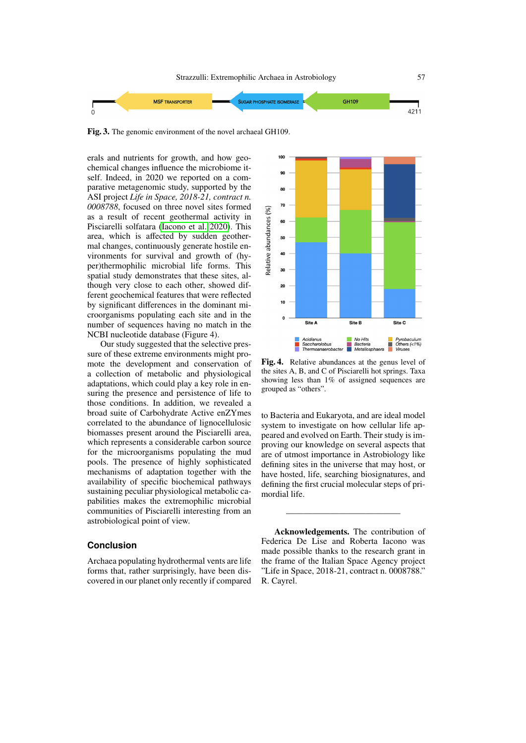

Fig. 3. The genomic environment of the novel archaeal GH109.

erals and nutrients for growth, and how geochemical changes influence the microbiome itself. Indeed, in 2020 we reported on a comparative metagenomic study, supported by the ASI project *Life in Space, 2018-21, contract n. 0008788*, focused on three novel sites formed as a result of recent geothermal activity in Pisciarelli solfatara [\(Iacono et al. 2020\)](#page-5-33). This area, which is affected by sudden geothermal changes, continuously generate hostile environments for survival and growth of (hyper)thermophilic microbial life forms. This spatial study demonstrates that these sites, although very close to each other, showed different geochemical features that were reflected by significant differences in the dominant microorganisms populating each site and in the number of sequences having no match in the NCBI nucleotide database (Figure 4).

Our study suggested that the selective pressure of these extreme environments might promote the development and conservation of a collection of metabolic and physiological adaptations, which could play a key role in ensuring the presence and persistence of life to those conditions. In addition, we revealed a broad suite of Carbohydrate Active enZYmes correlated to the abundance of lignocellulosic biomasses present around the Pisciarelli area, which represents a considerable carbon source for the microorganisms populating the mud pools. The presence of highly sophisticated mechanisms of adaptation together with the availability of specific biochemical pathways sustaining peculiar physiological metabolic capabilities makes the extremophilic microbial communities of Pisciarelli interesting from an astrobiological point of view.

## **Conclusion**

Archaea populating hydrothermal vents are life forms that, rather surprisingly, have been discovered in our planet only recently if compared



Fig. 4. Relative abundances at the genus level of the sites A, B, and C of Pisciarelli hot springs. Taxa showing less than 1% of assigned sequences are grouped as "others".

to Bacteria and Eukaryota, and are ideal model system to investigate on how cellular life appeared and evolved on Earth. Their study is improving our knowledge on several aspects that are of utmost importance in Astrobiology like defining sites in the universe that may host, or have hosted, life, searching biosignatures, and defining the first crucial molecular steps of primordial life.

Acknowledgements. The contribution of Federica De Lise and Roberta Iacono was made possible thanks to the research grant in the frame of the Italian Space Agency project "Life in Space, 2018-21, contract n. 0008788." R. Cayrel.

—————————————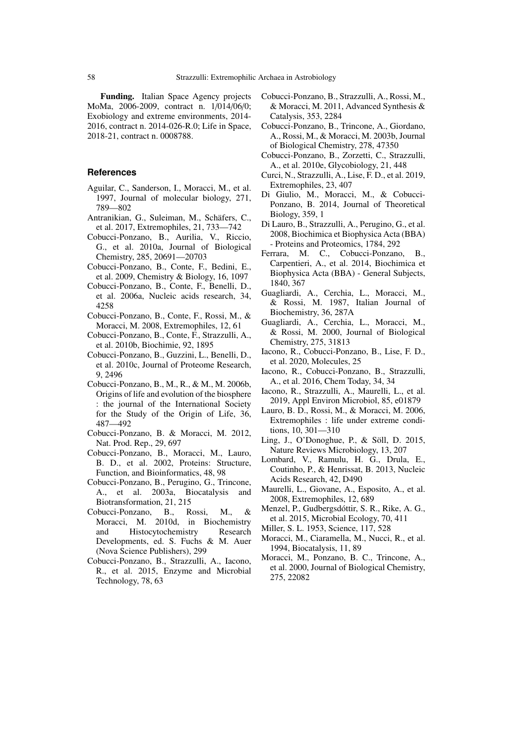Funding. Italian Space Agency projects MoMa, 2006-2009, contract n. 1/014/06/0; Exobiology and extreme environments, 2014- 2016, contract n. 2014-026-R.0; Life in Space, 2018-21, contract n. 0008788.

## **References**

- <span id="page-5-14"></span>Aguilar, C., Sanderson, I., Moracci, M., et al. 1997, Journal of molecular biology, 271, 789—802
- <span id="page-5-32"></span>Antranikian, G., Suleiman, M., Schäfers, C., et al. 2017, Extremophiles, 21, 733—742
- <span id="page-5-20"></span>Cobucci-Ponzano, B., Aurilia, V., Riccio, G., et al. 2010a, Journal of Biological Chemistry, 285, 20691—20703
- <span id="page-5-28"></span>Cobucci-Ponzano, B., Conte, F., Bedini, E., et al. 2009, Chemistry & Biology, 16, 1097
- <span id="page-5-4"></span>Cobucci-Ponzano, B., Conte, F., Benelli, D., et al. 2006a, Nucleic acids research, 34, 4258
- <span id="page-5-6"></span>Cobucci-Ponzano, B., Conte, F., Rossi, M., & Moracci, M. 2008, Extremophiles, 12, 61
- <span id="page-5-21"></span>Cobucci-Ponzano, B., Conte, F., Strazzulli, A., et al. 2010b, Biochimie, 92, 1895
- <span id="page-5-7"></span>Cobucci-Ponzano, B., Guzzini, L., Benelli, D., et al. 2010c, Journal of Proteome Research, 9, 2496
- <span id="page-5-5"></span>Cobucci-Ponzano, B., M., R., & M., M. 2006b, Origins of life and evolution of the biosphere : the journal of the International Society for the Study of the Origin of Life, 36, 487—492
- <span id="page-5-2"></span>Cobucci-Ponzano, B. & Moracci, M. 2012, Nat. Prod. Rep., 29, 697
- <span id="page-5-27"></span>Cobucci-Ponzano, B., Moracci, M., Lauro, B. D., et al. 2002, Proteins: Structure, Function, and Bioinformatics, 48, 98
- <span id="page-5-10"></span>Cobucci-Ponzano, B., Perugino, G., Trincone, A., et al. 2003a, Biocatalysis and Biotransformation, 21, 215
- <span id="page-5-11"></span>Cobucci-Ponzano, B., Rossi, M., & Moracci, M. 2010d, in Biochemistry and Histocytochemistry Research Developments, ed. S. Fuchs & M. Auer (Nova Science Publishers), 299
- <span id="page-5-23"></span>Cobucci-Ponzano, B., Strazzulli, A., Iacono, R., et al. 2015, Enzyme and Microbial Technology, 78, 63
- <span id="page-5-1"></span>Cobucci-Ponzano, B., Strazzulli, A., Rossi, M., & Moracci, M. 2011, Advanced Synthesis & Catalysis, 353, 2284
- <span id="page-5-3"></span>Cobucci-Ponzano, B., Trincone, A., Giordano, A., Rossi, M., & Moracci, M. 2003b, Journal of Biological Chemistry, 278, 47350
- <span id="page-5-29"></span>Cobucci-Ponzano, B., Zorzetti, C., Strazzulli, A., et al. 2010e, Glycobiology, 21, 448
- <span id="page-5-24"></span>Curci, N., Strazzulli, A., Lise, F. D., et al. 2019, Extremophiles, 23, 407
- <span id="page-5-8"></span>Di Giulio, M., Moracci, M., & Cobucci-Ponzano, B. 2014, Journal of Theoretical Biology, 359, 1
- <span id="page-5-18"></span>Di Lauro, B., Strazzulli, A., Perugino, G., et al. 2008, Biochimica et Biophysica Acta (BBA) - Proteins and Proteomics, 1784, 292
- <span id="page-5-22"></span>Ferrara, M. C., Cobucci-Ponzano, B., Carpentieri, A., et al. 2014, Biochimica et Biophysica Acta (BBA) - General Subjects, 1840, 367
- <span id="page-5-26"></span>Guagliardi, A., Cerchia, L., Moracci, M., & Rossi, M. 1987, Italian Journal of Biochemistry, 36, 287A
- <span id="page-5-15"></span>Guagliardi, A., Cerchia, L., Moracci, M., & Rossi, M. 2000, Journal of Biological Chemistry, 275, 31813
- <span id="page-5-33"></span>Iacono, R., Cobucci-Ponzano, B., Lise, F. D., et al. 2020, Molecules, 25
- <span id="page-5-12"></span>Iacono, R., Cobucci-Ponzano, B., Strazzulli, A., et al. 2016, Chem Today, 34, 34
- <span id="page-5-25"></span>Iacono, R., Strazzulli, A., Maurelli, L., et al. 2019, Appl Environ Microbiol, 85, e01879
- <span id="page-5-17"></span>Lauro, B. D., Rossi, M., & Moracci, M. 2006, Extremophiles : life under extreme conditions, 10, 301—310
- <span id="page-5-9"></span>Ling, J., O'Donoghue, P., & Söll, D. 2015, Nature Reviews Microbiology, 13, 207
- <span id="page-5-30"></span>Lombard, V., Ramulu, H. G., Drula, E., Coutinho, P., & Henrissat, B. 2013, Nucleic Acids Research, 42, D490
- <span id="page-5-19"></span>Maurelli, L., Giovane, A., Esposito, A., et al. 2008, Extremophiles, 12, 689
- <span id="page-5-31"></span>Menzel, P., Gudbergsdóttir, S. R., Rike, A. G., et al. 2015, Microbial Ecology, 70, 411
- <span id="page-5-0"></span>Miller, S. L. 1953, Science, 117, 528
- <span id="page-5-13"></span>Moracci, M., Ciaramella, M., Nucci, R., et al. 1994, Biocatalysis, 11, 89
- <span id="page-5-16"></span>Moracci, M., Ponzano, B. C., Trincone, A., et al. 2000, Journal of Biological Chemistry, 275, 22082